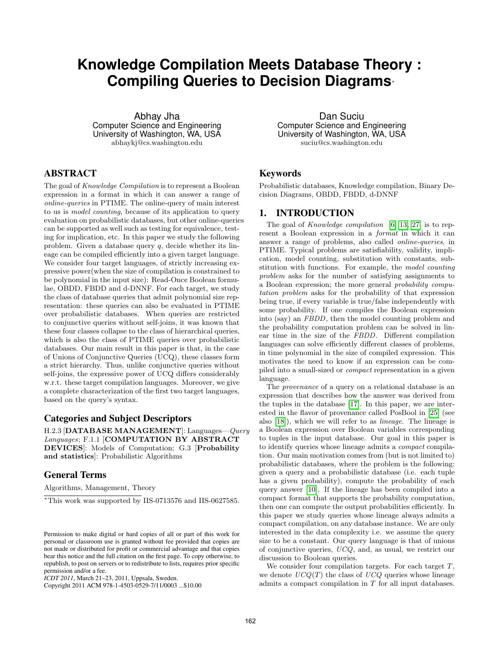# **Knowledge Compilation Meets Database Theory : Compiling Queries to Decision Diagrams**<sup>∗</sup>

Abhay Jha Computer Science and Engineering University of Washington, WA, USA abhaykj@cs.washington.edu

# ABSTRACT

The goal of Knowledge Compilation is to represent a Boolean expression in a format in which it can answer a range of online-queries in PTIME. The online-query of main interest to us is model counting, because of its application to query evaluation on probabilistic databases, but other online-queries can be supported as well such as testing for equivalence, testing for implication, etc. In this paper we study the following problem. Given a database query  $q$ , decide whether its lineage can be compiled efficiently into a given target language. We consider four target languages, of strictly increasing expressive power(when the size of compilation is constrained to be polynomial in the input size): Read-Once Boolean formulae, OBDD, FBDD and d-DNNF. For each target, we study the class of database queries that admit polynomial size representation: these queries can also be evaluated in PTIME over probabilistic databases. When queries are restricted to conjunctive queries without self-joins, it was known that these four classes collapse to the class of hierarchical queries, which is also the class of PTIME queries over probabilistic databases. Our main result in this paper is that, in the case of Unions of Conjunctive Queries (UCQ), these classes form a strict hierarchy. Thus, unlike conjunctive queries without self-joins, the expressive power of UCQ differs considerably w.r.t. these target compilation languages. Moreover, we give a complete characterization of the first two target languages, based on the query's syntax.

## Categories and Subject Descriptors

H.2.3 [DATABASE MANAGEMENT]: Languages—Query Languages; F.1.1 [COMPUTATION BY ABSTRACT DEVICES]: Models of Computation; G.3 [Probability and statistics]: Probabilistic Algorithms

## General Terms

Algorithms, Management, Theory

Copyright 2011 ACM 978-1-4503-0529-7/11/0003 ...\$10.00

Dan Suciu Computer Science and Engineering University of Washington, WA, USA suciu@cs.washington.edu

# Keywords

Probabilistic databases, Knowledge compilation, Binary Decision Diagrams, OBDD, FBDD, d-DNNF

#### 1. INTRODUCTION

The goal of *Knowledge compilation* [\[6,](#page-11-0) [13,](#page-11-1) [27\]](#page-11-2) is to represent a Boolean expression in a format in which it can answer a range of problems, also called online-queries, in PTIME. Typical problems are satisfiability, validity, implication, model counting, substitution with constants, substitution with functions. For example, the model counting problem asks for the number of satisfying assignments to a Boolean expression; the more general probability computation problem asks for the probability of that expression being true, if every variable is true/false independently with some probability. If one compiles the Boolean expression into (say) an FBDD, then the model counting problem and the probability computation problem can be solved in linear time in the size of the FBDD. Different compilation languages can solve efficiently different classes of problems, in time polynomial in the size of compiled expression. This motivates the need to know if an expression can be compiled into a small-sized or compact representation in a given language.

The provenance of a query on a relational database is an expression that describes how the answer was derived from the tuples in the database [\[17\]](#page-11-3). In this paper, we are interested in the flavor of provenance called PosBool in [\[25\]](#page-11-4) (see also [\[18\]](#page-11-5)), which we will refer to as lineage. The lineage is a Boolean expression over Boolean variables corresponding to tuples in the input database. Our goal in this paper is to identify queries whose lineage admits a compact compilation. Our main motivation comes from (but is not limited to) probabilistic databases, where the problem is the following: given a query and a probabilistic database (i.e. each tuple has a given probability), compute the probability of each query answer [\[10\]](#page-11-6). If the lineage has been compiled into a compact format that supports the probability computation, then one can compute the output probabilities efficiently. In this paper we study queries whose lineage always admits a compact compilation, on any database instance. We are only interested in the data complexity i.e. we assume the query size to be a constant. Our query language is that of unions of conjunctive queries, UCQ, and, as usual, we restrict our discussion to Boolean queries.

We consider four compilation targets. For each target  $T$ , we denote  $UCQ(T)$  the class of  $UCQ$  queries whose lineage admits a compact compilation in T for all input databases.

<sup>∗</sup>This work was supported by IIS-0713576 and IIS-0627585.

Permission to make digital or hard copies of all or part of this work for personal or classroom use is granted without fee provided that copies are not made or distributed for profit or commercial advantage and that copies bear this notice and the full citation on the first page. To copy otherwise, to republish, to post on servers or to redistribute to lists, requires prior specific permission and/or a fee.

*ICDT 2011*, March 21–23, 2011, Uppsala, Sweden.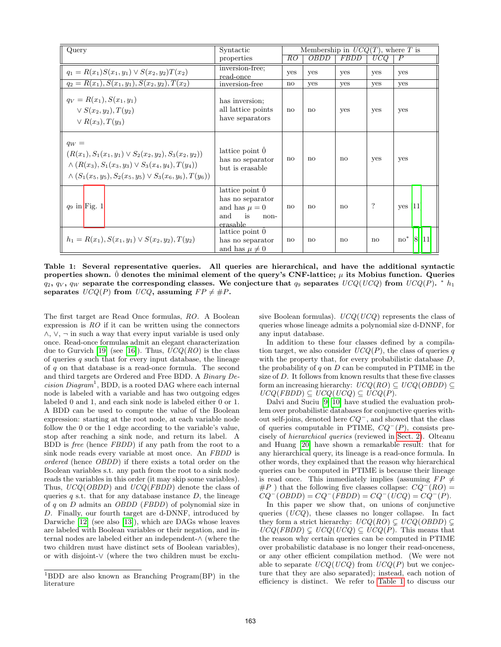<span id="page-1-0"></span>

| Query                                                                                                                                                                                                       | Syntactic                                                                                     | Membership in $UCQ(T)$ , where T is |              |              |            |                |
|-------------------------------------------------------------------------------------------------------------------------------------------------------------------------------------------------------------|-----------------------------------------------------------------------------------------------|-------------------------------------|--------------|--------------|------------|----------------|
|                                                                                                                                                                                                             | properties                                                                                    | RO                                  | <i>OBDD</i>  | <i>FBDD</i>  | UCQ        | P              |
| $q_1 = R(x_1)S(x_1,y_1) \vee S(x_2,y_2)T(x_2)$                                                                                                                                                              | inversion-free;<br>read-once                                                                  | yes                                 | yes          | yes          | yes        | yes            |
| $q_2 = R(x_1), S(x_1, y_1), S(x_2, y_2), T(x_2)$                                                                                                                                                            | inversion-free                                                                                | $\mathbf{n}$                        | <b>ves</b>   | yes          | yes        | yes            |
| $q_V = R(x_1), S(x_1, y_1)$<br>$\vee S(x_2,y_2), T(y_2)$<br>$\vee R(x_3), T(y_3)$                                                                                                                           | has inversion;<br>all lattice points<br>have separators                                       | $\mathbf{n}$                        | no           | yes          | yes        | yes            |
| $q_W =$<br>$(R(x_1), S_1(x_1, y_1) \vee S_2(x_2, y_2), S_3(x_2, y_2))$<br>$\wedge (R(x_3), S_1(x_3, y_3) \vee S_3(x_4, y_4), T(y_4))$<br>$\wedge (S_1(x_5, y_5), S_2(x_5, y_5) \vee S_3(x_6, y_6), T(y_6))$ | lattice point $\ddot{0}$<br>has no separator<br>but is erasable                               | $\mathbf{n}$                        | $\mathbf{n}$ | $\mathbf{n}$ | yes        | yes            |
| $q_9$ in Fig. 1                                                                                                                                                                                             | lattice point $0$<br>has no separator<br>and has $\mu = 0$<br>and<br>is<br>$non-$<br>erasable | $\mathbf{n}$                        | $\mathbf{n}$ | $\mathbf{n}$ | $\ddot{?}$ | yes $ 11 $     |
| $h_1 = R(x_1), S(x_1, y_1) \vee S(x_2, y_2), T(y_2)$                                                                                                                                                        | lattice point 0<br>has no separator<br>and has $\mu \neq 0$                                   | $\mathbf{n}$                        | no           | no           | no         | $no^* [8, 11]$ |

Table 1: Several representative queries. All queries are hierarchical, and have the additional syntactic properties shown.  $\hat{0}$  denotes the minimal element of the query's CNF-lattice;  $\mu$  its Mobius function. Queries  $q_2, q_V, q_W$  separate the corresponding classes. We conjecture that  $q_9$  separates  $UCQ(UCQ)$  from  $UCQ(P)$ .  $^*$   $h_1$ separates  $UCQ(P)$  from  $UCQ$ , assuming  $FP \neq \#P$ .

The first target are Read Once formulas, RO. A Boolean expression is  $RO$  if it can be written using the connectors  $\wedge$ ,  $\vee$ ,  $\neg$  in such a way that every input variable is used only once. Read-once formulas admit an elegant characterization due to Gurvich [\[19\]](#page-11-9) (see [\[16\]](#page-11-10)). Thus,  $UCQ(RO)$  is the class of queries  $q$  such that for every input database, the lineage of  $q$  on that database is a read-once formula. The second and third targets are Ordered and Free BDD. A Binary De $cision Diagram<sup>1</sup>$ , BDD, is a rooted DAG where each internal node is labeled with a variable and has two outgoing edges labeled 0 and 1, and each sink node is labeled either 0 or 1. A BDD can be used to compute the value of the Boolean expression: starting at the root node, at each variable node follow the 0 or the 1 edge according to the variable's value, stop after reaching a sink node, and return its label. A BDD is free (hence FBDD) if any path from the root to a sink node reads every variable at most once. An FBDD is ordered (hence OBDD) if there exists a total order on the Boolean variables s.t. any path from the root to a sink node reads the variables in this order (it may skip some variables). Thus,  $UCQ(OBDD)$  and  $UCQ(FBDD)$  denote the class of queries q s.t. that for any database instance  $D$ , the lineage of q on D admits an OBDD (FBDD) of polynomial size in D. Finally, our fourth target are d-DNNF, introduced by Darwiche [\[12\]](#page-11-11) (see also [\[13\]](#page-11-1)), which are DAGs whose leaves are labeled with Boolean variables or their negation, and internal nodes are labeled either an independent-∧ (where the two children must have distinct sets of Boolean variables), or with disjoint-∨ (where the two children must be exclusive Boolean formulas).  $UCQ(UCQ)$  represents the class of queries whose lineage admits a polynomial size d-DNNF, for any input database.

In addition to these four classes defined by a compilation target, we also consider  $UCQ(P)$ , the class of queries q with the property that, for every probabilistic database  $D_i$ the probability of  $q$  on  $D$  can be computed in PTIME in the size of  $D$ . It follows from known results that these five classes form an increasing hierarchy:  $UCQ(RO) \subseteq UCQ(OBDD) \subseteq$  $UCQ(FBDD) \subseteq UCQ(UCQ) \subseteq UCQ(P).$ 

Dalvi and Suciu [\[9,](#page-11-12) [10\]](#page-11-6) have studied the evaluation problem over probabilistic databases for conjunctive queries without self-joins, denoted here  $CQ^-$ , and showed that the class of queries computable in PTIME,  $CQ^{-}(P)$ , consists precisely of hierarchical queries (reviewed in [Sect. 2\)](#page-2-0). Olteanu and Huang [\[20\]](#page-11-13) have shown a remarkable result: that for any hierarchical query, its lineage is a read-once formula. In other words, they explained that the reason why hierarchical queries can be computed in PTIME is because their lineage is read once. This immediately implies (assuming  $FP \neq$  $#P$ ) that the following five classes collapse:  $CQ^{-}(RO)$  =  $CQ^{-}(\text{OBDD}) = CQ^{-}(\text{FBDD}) = CQ^{-}(\text{UCQ}) = CQ^{-}(P).$ 

In this paper we show that, on unions of conjunctive queries (UCQ), these classes no longer collapse. In fact they form a strict hierarchy:  $UCQ(RO) \subsetneq UCQ(OBDD) \subsetneq$  $UCQ(FBDD) \subseteq UCQ(UCQ) \subseteq UCQ(P)$ . This means that the reason why certain queries can be computed in PTIME over probabilistic database is no longer their read-onceness, or any other efficient compilation method. (We were not able to separate  $UCQ(UCQ)$  from  $UCQ(P)$  but we conjecture that they are also separated); instead, each notion of efficiency is distinct. We refer to [Table 1](#page-1-0) to discuss our

<sup>1</sup>BDD are also known as Branching Program(BP) in the literature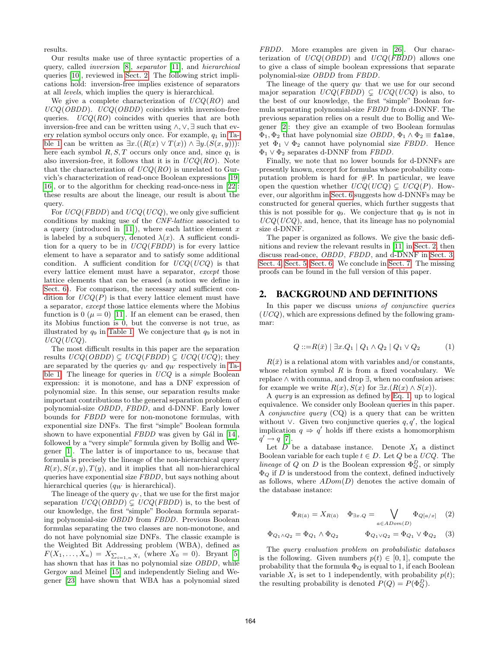results.

Our results make use of three syntactic properties of a query, called inversion [\[8\]](#page-11-8), separator [\[11\]](#page-11-7), and hierarchical queries [\[10\]](#page-11-6), reviewed in [Sect. 2.](#page-2-0) The following strict implications hold: inversion-free implies existence of separators at all levels, which implies the query is hierarchical.

We give a complete characterization of  $UCQ(RO)$  and  $UCQ(OBDD)$ .  $UCQ(OBDD)$  coincides with inversion-free queries.  $UCQ(RO)$  coincides with queries that are both inversion-free and can be written using ∧, ∨, ∃ such that every relation symbol occurs only once. For example,  $q_1$  in [Ta](#page-1-0)[ble 1](#page-1-0) can be written as  $\exists x.((R(x) \vee T(x)) \wedge \exists y.(S(x,y)))$ : here each symbol  $R, S, T$  occurs only once and, since  $q_1$  is also inversion-free, it follows that it is in  $UCQ(RO)$ . Note that the characterization of  $UCQ(RO)$  is unrelated to Gurvich's characterization of read-once Boolean expressions [\[19,](#page-11-9) [16\]](#page-11-10), or to the algorithm for checking read-once-ness in [\[22\]](#page-11-14): these results are about the lineage, our result is about the query.

For  $UCQ(FBDD)$  and  $UCQ(UCQ)$ , we only give sufficient conditions by making use of the CNF-lattice associated to a query (introduced in  $[11]$ ), where each lattice element x is labeled by a subquery, denoted  $\lambda(x)$ . A sufficient condition for a query to be in  $UCQ(FBDD)$  is for every lattice element to have a separator and to satisfy some additional condition. A sufficient condition for  $UCQ(UCQ)$  is that every lattice element must have a separator, except those lattice elements that can be erased (a notion we define in [Sect. 6\)](#page-9-0). For comparison, the necessary and sufficient condition for  $UCQ(P)$  is that every lattice element must have a separator, except those lattice elements where the Mobius function is  $0 \ (\mu = 0)$  [\[11\]](#page-11-7). If an element can be erased, then its Mobius function is 0, but the converse is not true, as illustrated by  $q_9$  in [Table 1.](#page-1-0) We conjecture that  $q_9$  is not in  $UCQ(UCQ).$ 

The most difficult results in this paper are the separation results  $UCQ(OBDD) \subsetneq UCQ(FBDD) \subsetneq UCQ(UCQ)$ ; they are separated by the queries  $q_V$  and  $q_W$  respectively in [Ta](#page-1-0)[ble 1.](#page-1-0) The lineage for queries in  $UCQ$  is a *simple* Boolean expression: it is monotone, and has a DNF expression of polynomial size. In this sense, our separation results make important contributions to the general separation problem of polynomial-size OBDD, FBDD, and d-DNNF. Early lower bounds for FBDD were for non-monotone formulas, with exponential size DNFs. The first "simple" Boolean formula shown to have exponential  $FBDD$  was given by Gál in [\[14\]](#page-11-15), followed by a "very simple" formula given by Bollig and Wegener [\[1\]](#page-11-16). The latter is of importance to us, because that formula is precisely the lineage of the non-hierarchical query  $R(x), S(x, y), T(y)$ , and it implies that all non-hierarchical queries have exponential size FBDD, but says nothing about hierarchical queries  $(q_W$  is hierarchical).

The lineage of the query  $q_V$ , that we use for the first major separation  $UCQ(OBDD) \subset UCQ(FBDD)$  is, to the best of our knowledge, the first "simple" Boolean formula separating polynomial-size OBDD from FBDD. Previous Boolean formulas separating the two classes are non-monotone, and do not have polynomial size DNFs. The classic example is the Weighted Bit Addressing problem (WBA), defined as  $F(X_1, ..., X_n) = X_{\sum_{i=1,n} X_i}$  (where  $X_0 = 0$ ). Bryant [\[5\]](#page-11-17) has shown that has it has no polynomial size *OBDD*, while Gergov and Meinel [\[15\]](#page-11-18) and independently Sieling and Wegener [\[23\]](#page-11-19) have shown that WBA has a polynomial sized

FBDD. More examples are given in [\[26\]](#page-11-20). Our characterization of  $UCQ(OBDD)$  and  $UCQ(FBDD)$  allows one to give a class of simple boolean expressions that separate polynomial-size OBDD from FBDD.

The lineage of the query  $q_W$  that we use for our second major separation  $UCQ(FBDD) \subseteq UCQ(UCQ)$  is also, to the best of our knowledge, the first "simple" Boolean formula separating polynomial-size FBDD from d-DNNF. The previous separation relies on a result due to Bollig and Wegener [\[2\]](#page-11-21): they give an example of two Boolean formulas  $\Phi_1, \Phi_2$  that have polynomial size *OBDD*,  $\Phi_1 \wedge \Phi_2 \equiv \texttt{false}$ , yet  $\Phi_1 \vee \Phi_2$  cannot have polynomial size FBDD. Hence  $\Phi_1 \vee \Phi_2$  separates d-DNNF from FBDD.

Finally, we note that no lower bounds for d-DNNFs are presently known, except for formulas whose probability computation problem is hard for  $#P$ . In particular, we leave open the question whether  $UCQ(UCQ) \subset UCQ(P)$ . However, our algorithm in [Sect. 6](#page-9-0) suggests how d-DNNFs may be constructed for general queries, which further suggests that this is not possible for  $q_9$ . We conjecture that  $q_9$  is not in  $UCQ(UCQ)$ , and, hence, that its lineage has no polynomial size d-DNNF.

The paper is organized as follows. We give the basic definitions and review the relevant results in [\[11\]](#page-11-7) in [Sect. 2,](#page-2-0) then discuss read-once, OBDD, FBDD, and d-DNNF in [Sect. 3,](#page-5-0) [Sect. 4,](#page-5-1) [Sect. 5,](#page-8-0) [Sect. 6.](#page-9-0) We conclude in [Sect. 7.](#page-10-0) The missing proofs can be found in the full version of this paper.

#### <span id="page-2-0"></span>2. BACKGROUND AND DEFINITIONS

In this paper we discuss unions of conjunctive queries  $(UCQ)$ , which are expressions defined by the following grammar:

<span id="page-2-1"></span>
$$
Q ::= R(\bar{x}) | \exists x . Q_1 | Q_1 \land Q_2 | Q_1 \lor Q_2 \tag{1}
$$

 $R(\bar{x})$  is a relational atom with variables and/or constants, whose relation symbol  $R$  is from a fixed vocabulary. We replace  $\wedge$  with comma, and drop  $\exists$ , when no confusion arises: for example we write  $R(x)$ ,  $S(x)$  for  $\exists x \cdot (R(x) \wedge S(x))$ .

A query is an expression as defined by [Eq. 1,](#page-2-1) up to logical equivalence. We consider only Boolean queries in this paper. A conjunctive query (CQ) is a query that can be written without  $\vee$ . Given two conjunctive queries  $q, q'$ , the logical implication  $q \Rightarrow q'$  holds iff there exists a homomorphism  $q' \rightarrow q$  [\[7\]](#page-11-22).

Let  $D$  be a database instance. Denote  $X_t$  a distinct Boolean variable for each tuple  $t \in D$ . Let Q be a UCQ. The lineage of Q on D is the Boolean expression  $\Phi_Q^D$ , or simply  $\Phi_Q$  if D is understood from the context, defined inductively as follows, where  $ADom(D)$  denotes the active domain of the database instance:

$$
\Phi_{R(\bar{a})} = X_{R(\bar{a})} \quad \Phi_{\exists x. Q} = \bigvee_{a \in ADom(D)} \Phi_{Q[a/x]} \quad (2)
$$

$$
\Phi_{Q_1 \wedge Q_2} = \Phi_{Q_1} \wedge \Phi_{Q_2} \qquad \Phi_{Q_1 \vee Q_2} = \Phi_{Q_1} \vee \Phi_{Q_2} \quad (3)
$$

The query evaluation problem on probabilistic databases is the following. Given numbers  $p(t) \in [0, 1]$ , compute the probability that the formula  $\Phi_Q$  is equal to 1, if each Boolean variable  $X_t$  is set to 1 independently, with probability  $p(t)$ ; the resulting probability is denoted  $P(Q) = P(\Phi_Q^D)$ .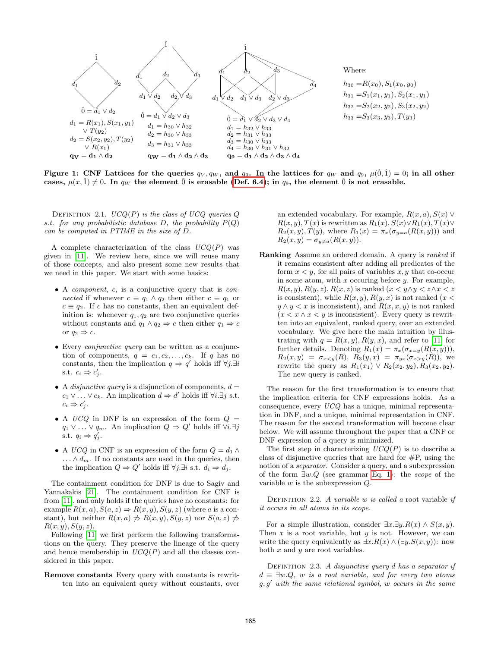<span id="page-3-0"></span>

Figure 1: CNF Lattices for the queries  $q_V, q_W$ , and  $q_9$ . In the lattices for  $q_W$  and  $q_9$ ,  $\mu(\hat{0}, \hat{1}) = 0$ ; in all other cases,  $\mu(x, \hat{1}) \neq 0$ . In  $q_W$  the element  $\hat{0}$  is erasable [\(Def. 6.4\)](#page-10-1); in  $q_9$ , the element  $\hat{0}$  is not erasable.

DEFINITION 2.1.  $UCQ(P)$  is the class of UCQ queries Q s.t. for any probabilistic database  $D$ , the probability  $P(Q)$ can be computed in PTIME in the size of D.

A complete characterization of the class  $UCQ(P)$  was given in [\[11\]](#page-11-7). We review here, since we will reuse many of those concepts, and also present some new results that we need in this paper. We start with some basics:

- A component, c, is a conjunctive query that is con*nected* if whenever  $c \equiv q_1 \wedge q_2$  then either  $c \equiv q_1$  or  $c \equiv q_2$ . If c has no constants, then an equivalent definition is: whenever  $q_1, q_2$  are two conjunctive queries without constants and  $q_1 \wedge q_2 \Rightarrow c$  then either  $q_1 \Rightarrow c$ or  $q_2 \Rightarrow c$ .
- Every *conjunctive query* can be written as a conjunction of components,  $q = c_1, c_2, \ldots, c_k$ . If q has no constants, then the implication  $q \Rightarrow q'$  holds iff  $\forall j.\exists i$ s.t.  $c_i \Rightarrow c'_j$ .
- A *disjunctive query* is a disjunction of components,  $d =$  $c_1 \vee \ldots \vee c_k$ . An implication  $d \Rightarrow d'$  holds iff  $\forall i.\exists j$  s.t.  $c_i \Rightarrow c'_j.$
- A UCQ in DNF is an expression of the form  $Q =$  $q_1 \vee \ldots \vee q_m$ . An implication  $Q \Rightarrow Q'$  holds iff  $\forall i.\exists j$ s.t.  $q_i \Rightarrow q'_j$ .
- A UCQ in CNF is an expression of the form  $Q = d_1 \wedge$  $\ldots \wedge d_m$ . If no constants are used in the queries, then the implication  $Q \Rightarrow Q'$  holds iff  $\forall j.\exists i \text{ s.t. } d_i \Rightarrow d_j$ .

The containment condition for DNF is due to Sagiv and Yannakakis [\[21\]](#page-11-23). The containment condition for CNF is from [\[11\]](#page-11-7), and only holds if the queries have no constants: for example  $R(x, a), S(a, z) \Rightarrow R(x, y), S(y, z)$  (where a is a constant), but neither  $R(x, a) \neq R(x, y)$ ,  $S(y, z)$  nor  $S(a, z) \neq$  $R(x, y), S(y, z).$ 

Following [\[11\]](#page-11-7) we first perform the following transformations on the query. They preserve the lineage of the query and hence membership in  $UCQ(P)$  and all the classes considered in this paper.

Remove constants Every query with constants is rewritten into an equivalent query without constants, over an extended vocabulary. For example,  $R(x, a)$ ,  $S(x)$   $\vee$  $R(x, y), T(x)$  is rewritten as  $R_1(x), S(x) \vee R_1(x), T(x) \vee R_2(x)$  $R_2(x, y), T(y)$ , where  $R_1(x) = \pi_x(\sigma_{y=a}(R(x, y)))$  and  $R_2(x, y) = \sigma_{y \neq a}(R(x, y)).$ 

Ranking Assume an ordered domain. A query is ranked if it remains consistent after adding all predicates of the form  $x \leq y$ , for all pairs of variables x, y that co-occur in some atom, with  $x$  occuring before  $y$ . For example,  $R(x, y), R(y, z), R(x, z)$  is ranked  $(x \lt y \land y \lt z \land x \lt z)$ is consistent), while  $R(x, y)$ ,  $R(y, x)$  is not ranked (x <  $y \wedge y < x$  is inconsistent), and  $R(x, x, y)$  is not ranked  $(x < x \land x < y$  is inconsistent). Every query is rewritten into an equivalent, ranked query, over an extended vocabulary. We give here the main intuition by illustrating with  $q = R(x, y), R(y, x)$ , and refer to [\[11\]](#page-11-7) for further details. Denoting  $R_1(x) = \pi_x(\sigma_{x=y}(R(x,y))),$  $R_2(x, y) = \sigma_{x \leq y}(R), R_3(y, x) = \pi_{yx}(\sigma_{x>y}(R)),$  we rewrite the query as  $R_1(x_1) \vee R_2(x_2, y_2), R_3(x_2, y_2)$ . The new query is ranked.

The reason for the first transformation is to ensure that the implication criteria for CNF expressions holds. As a consequence, every UCQ has a unique, minimal representation in DNF, and a unique, minimal representation in CNF. The reason for the second transformation will become clear below. We will assume throughout the paper that a CNF or DNF expression of a query is minimized.

The first step in characterizing  $UCQ(P)$  is to describe a class of disjunctive queries that are hard for  $\#P$ , using the notion of a separator. Consider a query, and a subexpression of the form  $\exists w.Q$  (see grammar [Eq. 1\)](#page-2-1): the scope of the variable  $w$  is the subexpression  $Q$ .

DEFINITION 2.2. A variable w is called a root variable if it occurs in all atoms in its scope.

For a simple illustration, consider  $\exists x.\exists y.R(x) \land S(x, y)$ . Then  $x$  is a root variable, but  $y$  is not. However, we can write the query equivalently as  $\exists x.R(x) \land (\exists y.S(x,y))$ : now both  $x$  and  $y$  are root variables.

DEFINITION 2.3. A disjunctive query  $d$  has a separator if  $d \equiv \exists w.Q, w$  is a root variable, and for every two atoms  $g, g'$  with the same relational symbol, w occurs in the same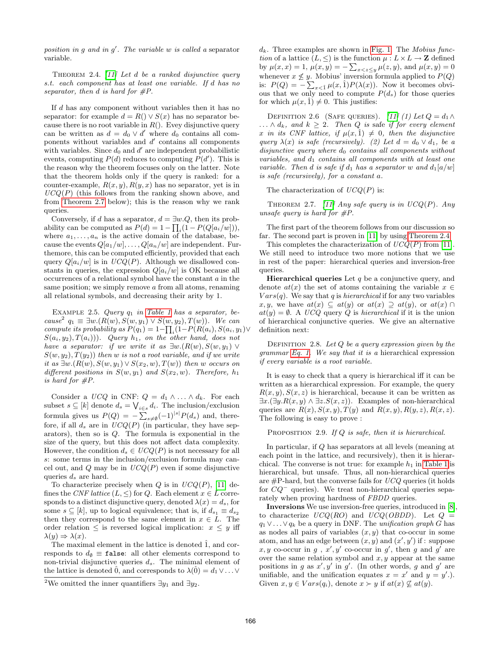position in  $g$  and in  $g'$ . The variable  $w$  is called a separator variable.

<span id="page-4-1"></span>THEOREM 2.4.  $[11]$  Let d be a ranked disjunctive query s.t. each component has at least one variable. If d has no separator, then d is hard for  $\#P$ .

If d has any component without variables then it has no separator: for example  $d = R() \vee S(x)$  has no separator because there is no root variable in  $R()$ . Evey disjunctive query can be written as  $d = d_0 \vee d'$  where  $d_0$  contains all components without variables and  $d'$  contains all components with variables. Since  $d_0$  and  $d'$  are independent probabilistic events, computing  $P(d)$  reduces to computing  $P(d')$ . This is the reason why the theorem focuses only on the latter. Note that the theorem holds only if the query is ranked: for a counter-example,  $R(x, y)$ ,  $R(y, x)$  has no separator, yet is in  $UCQ(P)$  (this follows from the ranking shown above, and from [Theorem 2.7](#page-4-0) below); this is the reason why we rank queries.

Conversely, if d has a separator,  $d = \exists w \ldotp Q$ , then its probability can be computed as  $P(d) = 1 - \prod_i (1 - P(Q[a_i/w])),$ where  $a_1, \ldots, a_n$  is the active domain of the database, because the events  $Q[a_1/w], \ldots, Q[a_n/w]$  are independent. Furthemore, this can be computed efficiently, provided that each query  $Q[a_i/w]$  is in  $UCQ(P)$ . Although we disallowed constants in queries, the expression  $Q[a_i/w]$  is OK because all  $occurrences of a relational symbol have the constant  $a$  in the$ same position; we simply remove a from all atoms, renaming all relational symbols, and decreasing their arity by 1.

EXAMPLE 2.5. Query  $q_1$  in [Table 1](#page-1-0) has a separator, because<sup>2</sup>  $q_1 \equiv \exists w.(R(w), S(w, y_1) \vee S(w, y_2), T(w))$ . We can compute its probability as  $P(q_1) = 1 - \prod_i (1 - P(R(a_i), S(a_i, y_1)) \vee$  $S(a_i, y_2), T(a_i))$ . Query  $h_1$ , on the other hand, does not have a separator: if we write it as  $\exists w.(R(w), S(w, y_1) \vee$  $S(w, y_2), T(y_2)$  then w is not a root variable, and if we write it as  $\exists w.(R(w), S(w, y_1) \vee S(x_2, w), T(w))$  then w occurs on different positions in  $S(w, y_1)$  and  $S(x_2, w)$ . Therefore,  $h_1$ is hard for  $\#P$ .

Consider a  $UCQ$  in CNF:  $Q = d_1 \wedge ... \wedge d_k$ . For each subset  $s \subseteq [k]$  denote  $d_s = \bigvee_{i \in s} d_i$ . The inclusion/exclusion formula gives us  $P(Q) = -\sum_{s \neq \emptyset} (-1)^{|s|} P(d_s)$  and, therefore, if all  $d_s$  are in  $UCQ(P)$  (in particular, they have separators), then so is Q. The formula is exponential in the size of the query, but this does not affect data complexity. However, the condition  $d_s \in UCQ(P)$  is not necessary for all s: some terms in the inclusion/exclusion formula may cancel out, and  $Q$  may be in  $UCQ(P)$  even if some disjunctive queries  $d_s$  are hard.

To characterize precisely when  $Q$  is in  $UCQ(P)$ , [\[11\]](#page-11-7) defines the CNF lattice  $(L, \leq)$  for Q. Each element  $x \in L$  corresponds to a distinct disjunctive query, denoted  $\lambda(x) = d_s$ , for some  $s \subseteq [k]$ , up to logical equivalence; that is, if  $d_{s_1} \equiv d_{s_2}$ then they correspond to the same element in  $x \in L$ . The order relation  $\leq$  is reversed logical implication:  $x \leq y$  iff  $\lambda(y) \Rightarrow \lambda(x)$ .

The maximal element in the lattice is denoted 1, and corresponds to  $d_{\emptyset} \equiv$  false: all other elements correspond to non-trivial disjunctive queries  $d_s$ . The minimal element of the lattice is denoted  $\hat{0}$ , and corresponds to  $\lambda(\hat{0}) = d_1 \vee \ldots \vee d_n$ 

 $d_k$ . Three examples are shown in [Fig. 1.](#page-3-0) The Mobius function of a lattice  $(L, \leq)$  is the function  $\mu : L \times L \to \mathbb{Z}$  defined by  $\mu(x, x) = 1$ ,  $\mu(x, y) = -\sum_{x < z \leq y} \mu(z, y)$ , and  $\mu(x, y) = 0$ whenever  $x \nleq y$ . Mobius' inversion formula applied to  $P(Q)$ is:  $P(Q) = -\sum_{x \leq \hat{1}} \mu(x, \hat{1}) P(\lambda(x))$ . Now it becomes obvious that we only need to compute  $P(d_s)$  for those queries for which  $\mu(x, \hat{1}) \neq 0$ . This justifies:

<span id="page-4-3"></span>DEFINITION 2.6 (SAFE QUERIES). [\[11\]](#page-11-7) (1) Let  $Q = d_1 \wedge$  $\ldots \wedge d_k$ , and  $k \geq 2$ . Then Q is safe if for every element x in its CNF lattice, if  $\mu(x, \hat{1}) \neq 0$ , then the disjunctive query  $\lambda(x)$  is safe (recursively). (2) Let  $d = d_0 \vee d_1$ , be a  $disjunctive query where  $d_0$  contains all components without$ variables, and  $d_1$  contains all components with at least one variable. Then d is safe if  $d_1$  has a separator w and  $d_1[a/w]$ is safe (recursively), for a constant a.

The characterization of  $UCQ(P)$  is:

<span id="page-4-0"></span>THEOREM 2.7. [\[11\]](#page-11-7) Any safe query is in  $UCQ(P)$ . Any unsafe query is hard for  $\#P$ .

The first part of the theorem follows from our discussion so far. The second part is proven in [\[11\]](#page-11-7) by using [Theorem 2.4.](#page-4-1)

This completes the characterization of  $UCQ(P)$  from [\[11\]](#page-11-7). We still need to introduce two more notions that we use in rest of the paper: hierarchical queries and inversion-free queries.

**Hierarchical queries** Let  $q$  be a conjunctive query, and denote  $at(x)$  the set of atoms containing the variable  $x \in$  $Vars(q)$ . We say that q is *hierarchical* if for any two variables x, y, we have  $at(x) \subseteq at(y)$  or  $at(x) \supseteq at(y)$ , or  $at(x) \cap$  $at(y) = \emptyset$ . A UCQ query Q is hierarchical if it is the union of hierarchical conjunctive queries. We give an alternative definition next:

<span id="page-4-2"></span>DEFINITION 2.8. Let  $Q$  be a query expression given by the grammar [Eq. 1.](#page-2-1) We say that it is a hierarchical expression if every variable is a root variable.

It is easy to check that a query is hierarchical iff it can be written as a hierarchical expression. For example, the query  $R(x, y), S(x, z)$  is hierarchical, because it can be written as  $\exists x.(\exists y.R(x,y) \land \exists z.S(x,z))$ . Examples of non-hierarchical queries are  $R(x)$ ,  $S(x, y)$ ,  $T(y)$  and  $R(x, y)$ ,  $R(y, z)$ ,  $R(x, z)$ . The following is easy to prove :

PROPOSITION 2.9. If Q is safe, then it is hierarchical.

In particular, if Q has separators at all levels (meaning at each point in the lattice, and recursively), then it is hierarchical. The converse is not true: for example  $h_1$  in [Table 1](#page-1-0) is hierarchical, but unsafe. Thus, all non-hierarchical queries are  $\#P$ -hard, but the converse fails for  $UCQ$  queries (it holds for CQ<sup>−</sup> queries). We treat non-hierarchical queries separately when proving hardness of FBDD queries.

Inversions We use inversion-free queries, introduced in [\[8\]](#page-11-8), to characterize  $UCQ(RO)$  and  $UCQ(OBDD)$ . Let  $Q =$  $q_1 \vee \ldots \vee q_k$  be a query in DNF. The unification graph G has as nodes all pairs of variables  $(x, y)$  that co-occur in some atom, and has an edge between  $(x, y)$  and  $(x', y')$  if : suppose x, y co-occur in g, x', y' co-occur in g', then g and g' are over the same relation symbol and  $x, y$  appear at the same positions in g as  $x', y'$  in g'. (In other words, g and g' are unifiable, and the unification equates  $x = x'$  and  $y = y'$ . Given  $x, y \in Vars(q_i)$ , denote  $x \succ y$  if  $at(x) \not\subseteq at(y)$ .

<sup>&</sup>lt;sup>2</sup>We omitted the inner quantifiers  $\exists y_1$  and  $\exists y_2$ .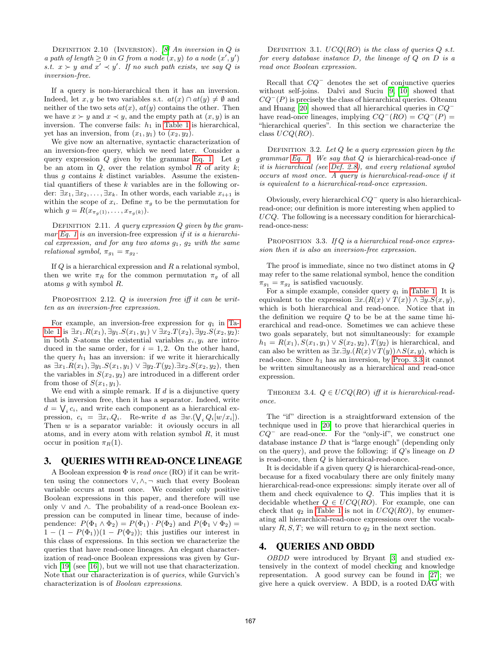DEFINITION 2.10 (INVERSION). [\[8\]](#page-11-8) An inversion in  $Q$  is a path of length  $\geq 0$  in G from a node  $(x, y)$  to a node  $(x', y')$ s.t.  $x \succ y$  and  $x' \prec y'$ . If no such path exists, we say Q is inversion-free.

If a query is non-hierarchical then it has an inversion. Indeed, let x, y be two variables s.t.  $at(x) \cap at(y) \neq \emptyset$  and neither of the two sets  $at(x)$ ,  $at(y)$  contains the other. Then we have  $x \succ y$  and  $x \prec y$ , and the empty path at  $(x, y)$  is an inversion. The converse fails:  $h_1$  in [Table 1](#page-1-0) is hierarchical, yet has an inversion, from  $(x_1, y_1)$  to  $(x_2, y_2)$ .

We give now an alternative, syntactic characterization of an inversion-free query, which we need later. Consider a query expression  $Q$  given by the grammar [Eq. 1.](#page-2-1) Let  $q$ be an atom in  $Q$ , over the relation symbol  $R$  of arity  $k$ ; thus  $g$  contains  $k$  distinct variables. Assume the existential quantifiers of these  $k$  variables are in the following order:  $\exists x_1, \exists x_2, \ldots, \exists x_k$ . In other words, each variable  $x_{i+1}$  is within the scope of  $x_i$ . Define  $\pi_g$  to be the permutation for which  $g = R(x_{\pi_q(1)}, \ldots, x_{\pi_q(k)})$ .

<span id="page-5-3"></span>DEFINITION 2.11. A query expression  $Q$  given by the gram-mar [Eq. 1](#page-2-1) is an inversion-free expression if it is a hierarchical expression, and for any two atoms  $g_1$ ,  $g_2$  with the same relational symbol,  $\pi_{g_1} = \pi_{g_2}$ .

If  $Q$  is a hierarchical expression and  $R$  a relational symbol, then we write  $\pi_R$  for the common permutation  $\pi_q$  of all atoms g with symbol R.

PROPOSITION 2.12.  $Q$  is inversion free iff it can be written as an inversion-free expression.

For example, an inversion-free expression for  $q_1$  in [Ta](#page-1-0)[ble 1](#page-1-0) is  $\exists x_1.R(x_1), \exists y_1.S(x_1,y_1) \vee \exists x_2.T(x_2), \exists y_2.S(x_2,y_2)$ : in both S-atoms the existential variables  $x_i, y_i$  are introduced in the same order, for  $i = 1, 2$ . On the other hand, the query  $h_1$  has an inversion: if we write it hierarchically as  $\exists x_1.R(x_1), \exists y_1.S(x_1,y_1) \vee \exists y_2.T(y_2). \exists x_2.S(x_2,y_2)$ , then the variables in  $S(x_2, y_2)$  are introduced in a different order from those of  $S(x_1, y_1)$ .

We end with a simple remark. If  $d$  is a disjunctive query that is inversion free, then it has a separator. Indeed, write  $d = \bigvee_i c_i$ , and write each component as a hierarchical expression,  $c_i = \exists x_i \ldotp Q_i$ . Re-write d as  $\exists w. (\bigvee_i Q_i[w/x_i]).$ Then  $w$  is a separator variable: it oviously occurs in all atoms, and in every atom with relation symbol R, it must occur in position  $\pi_R(1)$ .

#### <span id="page-5-0"></span>3. QUERIES WITH READ-ONCE LINEAGE

A Boolean expression  $\Phi$  is *read once* (RO) if it can be written using the connectors  $\vee, \wedge, \neg$  such that every Boolean variable occurs at most once. We consider only positive Boolean expressions in this paper, and therefore will use only ∨ and ∧. The probability of a read-once Boolean expression can be computed in linear time, because of independence:  $P(\Phi_1 \wedge \Phi_2) = P(\Phi_1) \cdot P(\Phi_2)$  and  $P(\Phi_1 \vee \Phi_2) =$  $1 - (1 - P(\Phi_1))(1 - P(\Phi_2))$ ; this justifies our interest in this class of expressions. In this section we characterize the queries that have read-once lineages. An elegant characterization of read-once Boolean expressions was given by Gurvich [\[19\]](#page-11-9) (see [\[16\]](#page-11-10)), but we will not use that characterization. Note that our characterization is of queries, while Gurvich's characterization is of Boolean expressions.

DEFINITION 3.1.  $UCQ(RO)$  is the class of queries Q s.t. for every database instance  $D$ , the lineage of  $Q$  on  $D$  is a read once Boolean expression.

Recall that  $CQ^-$  denotes the set of conjunctive queries without self-joins. Dalvi and Suciu [\[9,](#page-11-12) [10\]](#page-11-6) showed that  $CQ^{-}(P)$  is precisely the class of hierarchical queries. Olteanu and Huang [\[20\]](#page-11-13) showed that all hierarchical queries in CQ<sup>−</sup> have read-once lineages, implying  $CQ^{-}(RO) = CQ^{-}(P) =$ "hierarchical queries". In this section we characterize the class  $UCQ(RO)$ .

DEFINITION 3.2. Let  $Q$  be a query expression given by the grammar [Eq. 1.](#page-2-1) We say that  $Q$  is hierarchical-read-once if it is hierarchical (see [Def. 2.8\)](#page-4-2), and every relational symbol occurs at most once. A query is hierarchical-read-once if it is equivalent to a hierarchical-read-once expression.

Obviously, every hierarchical CQ<sup>−</sup> query is also hierarchicalread-once; our definition is more interesting when applied to  $UCQ$ . The following is a necessary condition for hierarchicalread-once-ness:

<span id="page-5-2"></span>PROPOSITION 3.3. If  $Q$  is a hierarchical read-once expression then it is also an inversion-free expression.

The proof is immediate, since no two distinct atoms in Q may refer to the same relational symbol, hence the condition  $\pi_{g_1} = \pi_{g_2}$  is satisfied vacuously.

For a simple example, consider query  $q_1$  in [Table 1.](#page-1-0) It is equivalent to the expression  $\exists x.(R(x) \vee T(x)) \wedge \exists y.S(x,y),$ which is both hierarchical and read-once. Notice that in the definition we require  $Q$  to be be at the same time hierarchical and read-once. Sometimes we can achieve these two goals separately, but not simultaneously: for example  $h_1 = R(x_1), S(x_1, y_1) \vee S(x_2, y_2), T(y_2)$  is hierarchical, and can also be written as  $\exists x.\exists y.(R(x)\vee T(y))\wedge S(x, y)$ , which is read-once. Since  $h_1$  has an inversion, by [Prop. 3.3](#page-5-2) it cannot be written simultaneously as a hierarchical and read-once expression.

THEOREM 3.4.  $Q \in UCO(RO)$  iff it is hierarchical-readonce.

The "if" direction is a straightforward extension of the technique used in [\[20\]](#page-11-13) to prove that hierarchical queries in  $CQ^-$  are read-once. For the "only-if", we construct one database instance D that is "large enough" (depending only on the query), and prove the following: if  $Q$ 's lineage on  $D$ is read-once, then Q is hierarchical-read-once.

It is decidable if a given query  $Q$  is hierarchical-read-once, because for a fixed vocabulary there are only finitely many hierarchical-read-once expressions: simply iterate over all of them and check equivalence to Q. This implies that it is decidable whether  $Q \in UCQ(RO)$ . For example, one can check that  $q_2$  in [Table 1](#page-1-0) is not in  $UCQ(RO)$ , by enumerating all hierarchical-read-once expressions over the vocabulary  $R, S, T$ ; we will return to  $q_2$  in the next section.

#### <span id="page-5-1"></span>4. QUERIES AND OBDD

OBDD were introduced by Bryant [\[3\]](#page-11-24) and studied extensively in the context of model checking and knowledge representation. A good survey can be found in [\[27\]](#page-11-2); we give here a quick overview. A BDD, is a rooted DAG with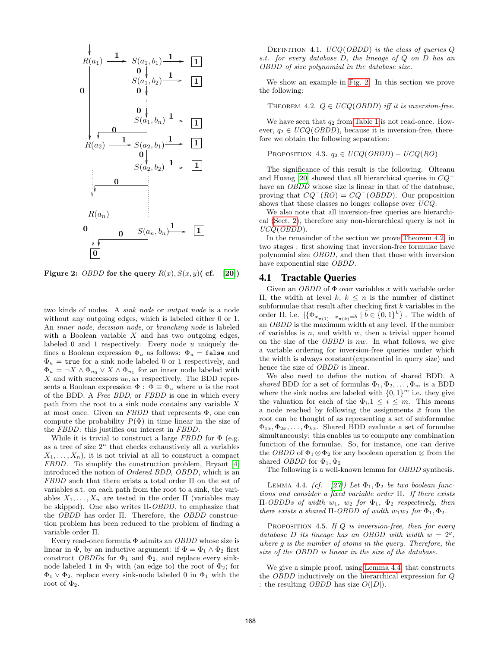<span id="page-6-0"></span>

Figure 2: OBDD for the query  $R(x)$ ,  $S(x, y)$  (cf. [\[20\]](#page-11-13))

two kinds of nodes. A sink node or output node is a node without any outgoing edges, which is labeled either 0 or 1. An inner node, decision node, or branching node is labeled with a Boolean variable  $X$  and has two outgoing edges, labeled 0 and 1 respectively. Every node u uniquely defines a Boolean expression  $\Phi_u$  as follows:  $\Phi_u = \texttt{false}$  and  $\Phi_u$  = true for a sink node labeled 0 or 1 respectively, and  $\Phi_u = \neg X \wedge \Phi_{u_0} \vee X \wedge \Phi_{u_1}$  for an inner node labeled with  $X$  and with successors  $u_0, u_1$  respectively. The BDD represents a Boolean expression  $\Phi : \Phi \equiv \Phi_u$  where u is the root of the BDD. A Free BDD, or FBDD is one in which every path from the root to a sink node contains any variable  $X$ at most once. Given an  $FBDD$  that represents  $\Phi$ , one can compute the probability  $P(\Phi)$  in time linear in the size of the FBDD: this justifies our interest in FBDD.

While it is trivial to construct a large  $FBDD$  for  $\Phi$  (e.g. as a tree of size  $2^n$  that checks exhaustively all n variables  $X_1, \ldots, X_n$ , it is not trivial at all to construct a compact FBDD. To simplify the construction problem, Bryant [\[4\]](#page-11-25) introduced the notion of Ordered BDD, OBDD, which is an FBDD such that there exists a total order Π on the set of variables s.t. on each path from the root to a sink, the variables  $X_1, \ldots, X_n$  are tested in the order  $\Pi$  (variables may be skipped). One also writes Π-OBDD, to emphasize that the OBDD has order Π. Therefore, the OBDD construction problem has been reduced to the problem of finding a variable order Π.

Every read-once formula  $\Phi$  admits an *OBDD* whose size is linear in  $\Phi$ , by an inductive argument: if  $\Phi = \Phi_1 \wedge \Phi_2$  first construct *OBDDs* for  $\Phi_1$  and  $\Phi_2$ , and replace every sinknode labeled 1 in  $\Phi_1$  with (an edge to) the root of  $\Phi_2$ ; for  $\Phi_1 \vee \Phi_2$ , replace every sink-node labeled 0 in  $\Phi_1$  with the root of  $\Phi_2$ .

DEFINITION 4.1.  $UCQ(OBDD)$  is the class of queries  $Q$ s.t. for every database D, the lineage of Q on D has an OBDD of size polynomial in the database size.

We show an example in [Fig. 2.](#page-6-0) In this section we prove the following:

<span id="page-6-1"></span>THEOREM 4.2.  $Q \in UCQ(OBDD)$  iff it is inversion-free.

We have seen that  $q_2$  from [Table 1](#page-1-0) is not read-once. However,  $q_2 \in UCQ(OBDD)$ , because it is inversion-free, therefore we obtain the following separation:

PROPOSITION 4.3. 
$$
q_2 \in UCQ(OBDD) - UCQ(RO)
$$

The significance of this result is the following. Olteanu and Huang [\[20\]](#page-11-13) showed that all hierarchical queries in CQ<sup>−</sup> have an *OBDD* whose size is linear in that of the database, proving that  $CQ^{-}(RO) = CQ^{-}(OBDD)$ . Our proposition shows that these classes no longer collapse over UCQ.

We also note that all inversion-free queries are hierarchical [\(Sect. 2\)](#page-2-0), therefore any non-hierarchical query is not in UCQ(OBDD).

In the remainder of the section we prove [Theorem 4.2,](#page-6-1) in two stages : first showing that inversion-free formulae have polynomial size OBDD, and then that those with inversion have exponential size OBDD.

#### 4.1 Tractable Queries

Given an *OBDD* of  $\Phi$  over variables  $\bar{x}$  with variable order Π, the width at level k, k ≤ n is the number of distinct subformulae that result after checking first  $k$  variables in the order  $\Pi$ , i.e.  $|\{\Phi_{x_{\pi(1)}...x_{\pi(k)}=\bar{b}} \mid \bar{b} \in \{0,1\}^k\}|$ . The width of an OBDD is the maximum width at any level. If the number of variables is  $n$ , and width  $w$ , then a trivial upper bound on the size of the OBDD is nw. In what follows, we give a variable ordering for inversion-free queries under which the width is always constant(exponential in query size) and hence the size of OBDD is linear.

We also need to define the notion of shared BDD. A shared BDD for a set of formulas  $\Phi_1, \Phi_2, \ldots, \Phi_m$  is a BDD where the sink nodes are labeled with  ${0,1}^m$  i.e. they give the valuation for each of the  $\Phi_{i,1} \leq i \leq m$ . This means a node reached by following the assignments  $\bar{x}$  from the root can be thought of as representing a set of subformulae  $\Phi_{1\bar{x}}, \Phi_{2\bar{x}}, \ldots, \Phi_{k\bar{x}}$ . Shared BDD evaluate a set of formulae simultaneously: this enables us to compute any combination function of the formulae. So, for instance, one can derive the *OBDD* of  $\Phi_1 \otimes \Phi_2$  for any boolean operation  $\otimes$  from the shared *OBDD* for  $\Phi_1, \Phi_2$ 

The following is a well-known lemma for OBDD synthesis.

<span id="page-6-2"></span>LEMMA 4.4. (cf. [\[27\]](#page-11-2)) Let  $\Phi_1, \Phi_2$  be two boolean functions and consider a fixed variable order Π. If there exists  $\Pi$ -OBDDs of width  $w_1$ ,  $w_2$  for  $\Phi_1$ ,  $\Phi_2$  respectively, then there exists a shared  $\Pi$ -OBDD of width  $w_1w_2$  for  $\Phi_1, \Phi_2$ .

PROPOSITION 4.5. If  $Q$  is inversion-free, then for every database D its lineage has an OBDD with width  $w = 2<sup>g</sup>$ , where g is the number of atoms in the query. Therefore, the size of the OBDD is linear in the size of the database.

We give a simple proof, using [Lemma 4.4,](#page-6-2) that constructs the OBDD inductively on the hierarchical expression for Q : the resulting *OBDD* has size  $O(|D|)$ .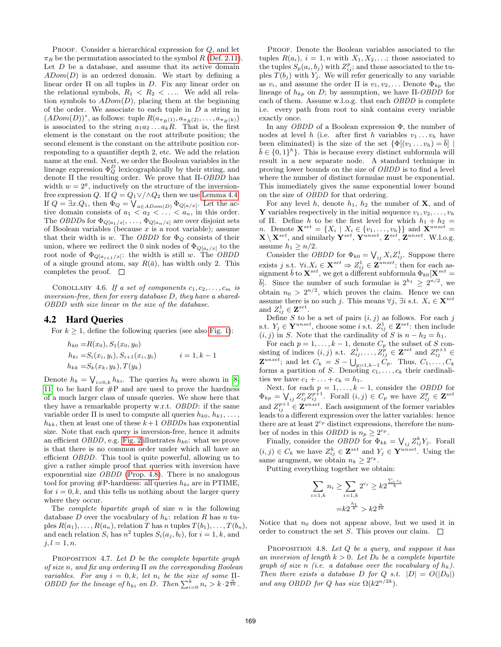PROOF. Consider a hierarchical expression for Q, and let  $\pi_R$  be the permutation associated to the symbol R [\(Def. 2.11\)](#page-5-3). Let  $D$  be a database, and assume that its active domain  $ADom(D)$  is an ordered domain. We start by defining a linear order  $\Pi$  on all tuples in  $D$ . Fix any linear order on the relational symbols,  $R_1 \leq R_2 \leq \ldots$ . We add all relation symbols to  $ADom(D)$ , placing them at the beginning of the order. We associate to each tuple in  $D$  a string in  $(ADom(D))^*$ , as follows: tuple  $R(a_{\pi_R(1)}, a_{\pi_R(2)}, \ldots, a_{\pi_R(k)})$ is associated to the string  $a_1a_2...a_kR$ . That is, the first element is the constant on the root attribute position; the second element is the constant on the attribute position corresponding to a quantifier depth 2, etc. We add the relation name at the end. Next, we order the Boolean variables in the lineage expression  $\Phi_Q^D$  lexicographically by their string, and denote Π the resulting order. We prove that Π-OBDD has width  $w = 2<sup>g</sup>$ , inductively on the structure of the inversionfree expression Q. If  $Q = Q_1 \vee / \wedge Q_2$  then we use [Lemma 4.4.](#page-6-2) If  $Q = \exists x . Q_1$ , then  $\Phi_Q = \bigvee_{a \in ADom(D)} \Phi_{Q[a/x]}$ . Let the active domain consists of  $a_1 < a_2 < \ldots < a_n$ , in this order. The *OBDDs* for  $\Phi_{Q[a_1/x]}, \ldots, \Phi_{Q[a_n/x]}$  are over disjoint sets of Boolean variables (because  $x$  is a root variable); assume that their width is w. The OBDD for  $\Phi_Q$  consists of their union, where we redirect the 0 sink nodes of  $\Phi_{Q[a_i/x]}$  to the root node of  $\Phi_{Q[a_{i+1}/x]}$ : the width is still w. The *OBDD* of a single ground atom, say  $R(\bar{a})$ , has width only 2. This completes the proof.  $\square$ 

COROLLARY 4.6. If a set of components  $c_1, c_2, \ldots, c_m$  is inversion-free, then for every database D, they have a shared-OBDD with size linear in the size of the database.

#### 4.2 Hard Queries

For  $k \geq 1$ , define the following queries (see also [Fig. 1\)](#page-3-0):

$$
h_{k0} = R(x_0), S_1(x_0, y_0)
$$
  
\n
$$
h_{ki} = S_i(x_i, y_i), S_{i+1}(x_i, y_i)
$$
  
\n
$$
i = 1, k - 1
$$
  
\n
$$
h_{kk} = S_k(x_k, y_k), T(y_k)
$$

Denote  $h_k = \bigvee_{i=0,k} h_{ki}$ . The queries  $h_k$  were shown in [\[8,](#page-11-8) [11\]](#page-11-7) to be hard for  $\#P$  and are used to prove the hardness of a much larger class of unsafe queries. We show here that they have a remarkable property w.r.t. OBDD: if the same variable order  $\Pi$  is used to compute all queries  $h_{k0}, h_{k1}, \ldots$ .  $h_{kk}$ , then at least one of these  $k+1$  OBDDs has exponential size. Note that each query is inversion-free, hence it admits an efficient *OBDD*, e.g. [Fig. 2](#page-6-0) illustrates  $h_{k0}$ : what we prove is that there is no common order under which all have an efficient OBDD. This tool is quite powerful, allowing us to give a rather simple proof that queries with inversion have exponential size OBDD [\(Prop. 4.8\)](#page-7-0). There is no analogous tool for proving #P-hardness: all queries  $h_{ki}$  are in PTIME, for  $i = 0, k$ , and this tells us nothing about the larger query where they occur.

The *complete bipartite graph* of size  $n$  is the following database D over the vocabulary of  $h_k$ : relation R has n tuples  $R(a_1), \ldots, R(a_n)$ , relation T has n tuples  $T(b_1), \ldots, T(b_n)$ , and each relation  $S_i$  has  $n^2$  tuples  $S_i(a_j, b_l)$ , for  $i = 1, k$ , and  $j, l = 1, n.$ 

<span id="page-7-1"></span>PROPOSITION 4.7. Let  $D$  be the complete bipartite graph of size n, and fix any ordering  $\Pi$  on the corresponding Boolean variables. For any  $i = 0, k$ , let  $n_i$  be the size of some  $\Pi$ -OBDD for the lineage of  $h_{ki}$  on D. Then  $\sum_{i=0}^{k} n_i > k \cdot 2^{\frac{n}{2k}}$ .

PROOF. Denote the Boolean variables associated to the tuples  $R(a_i)$ ,  $i = 1, n$  with  $X_1, X_2, \ldots$ ; those associated to the tuples  $S_p(a_i, b_j)$  with  $Z_{ij}^p$ ; and those associated to the tuples  $T(b_j)$  with  $Y_j$ . We will refer generically to any variable as  $v_i$ , and assume the order  $\Pi$  is  $v_1, v_2, \ldots$  Denote  $\Phi_{kp}$  the lineage of  $h_{kp}$  on D; by assumption, we have  $\Pi$ -OBDD for each of them. Assume w.l.o.g. that each OBDD is complete i.e. every path from root to sink contains every variable exactly once.

In any OBDD of a Boolean expression Φ, the number of nodes at level h (i.e. after first h variables  $v_1 \ldots v_h$  have been eliminated) is the size of the set  $\{\Phi[(v_1 \dots v_h) = \overline{b}]$  $\overline{b} \in \{0,1\}^h$ . This is because every distinct subformula will result in a new separate node. A standard technique in proving lower bounds on the size of OBDD is to find a level where the number of distinct formulae must be exponential. This immediately gives the same exponential lower bound on the size of OBDD for that ordering.

For any level h, denote  $h_1$ ,  $h_2$  the number of **X**, and of Y variables respectively in the initial sequence  $v_1, v_2, \ldots, v_h$ of Π. Define h to be the first level for which  $h_1 + h_2 =$ *n*. Denote  $\mathbf{X}^{set} = \{X_i \mid X_i \in \{v_1, \ldots, v_h\}\}\$ and  $\mathbf{X}^{unset}$  $\mathbf{X} \setminus \mathbf{X}^{set}$ , and similarly  $\mathbf{Y}^{set}$ ,  $\mathbf{Y}^{unset}$ ,  $\mathbf{Z}^{set}$ ,  $\mathbf{Z}^{unset}$ . W.l.o.g. assume  $h_1 \geq n/2$ .

Consider the *OBDD* for  $\Phi_{k0} = \bigvee_{ij} X_i Z_{ij}^1$ . Suppose there exists j s.t.  $\forall i. X_i \in \mathbf{X}^{set} \Rightarrow Z_{ij}^1 \in \mathbf{Z}^{unset}$ ; then for each assignment  $\bar{b}$  to  $\mathbf{X}^{set}$ , we get a different subformula  $\Phi_{k0}[\mathbf{X}^{set}]=$  $\bar{b}$ . Since the number of such formulae is  $2^{h_1} \geq 2^{n/2}$ , we obtain  $n_0 > 2^{n/2}$ , which proves the claim. Hence we can assume there is no such j. This means  $\forall j$ ,  $\exists i$  s.t.  $X_i \in \mathbf{X}^{set}$ and  $Z_{ij}^1 \in \mathbf{Z}^{set}$ .

Define  $S$  to be a set of pairs  $(i, j)$  as follows. For each j s.t.  $Y_j \in \mathbf{Y}^{unset}$ , choose some i s.t.  $Z_{ij}^1 \in \mathbf{Z}^{set}$ : then include  $(i, j)$  in S. Note that the cardinality of S is  $n - h_2 = h_1$ .

For each  $p = 1, \ldots, k - 1$ , denote  $C_p$  the subset of S consisting of indices  $(i, j)$  s.t.  $Z_{ij}^1, \ldots, Z_{ij}^p \in \mathbf{Z}^{set}$  and  $Z_{ij}^{p+1} \in$  $\mathbf{Z}^{unset}$ ; and let  $C_k = S - \bigcup_{p=1,k-1} C_p$ . Thus,  $C_1, \ldots, C_k$ forms a partition of S. Denoting  $c_1, \ldots, c_k$  their cardinalities we have  $c_1 + \ldots + c_k = h_1$ .

Next, for each  $p = 1, \ldots, k - 1$ , consider the *OBDD* for  $\Phi_{kp} = \bigvee_{ij} Z_{ij}^p Z_{ij}^{p+1}$ . Forall  $(i, j) \in C_p$  we have  $Z_{ij}^p \in \mathbf{Z}^{set}$ and  $Z_{ij}^{p+1} \in \mathbf{Z}^{unset}$ . Each assignment of the former variables leads to a different expression over the latter variables: hence there are at least  $2^{c_p}$  distinct expressions, therefore the number of nodes in this *OBDD* is  $n_p \geq 2^{c_p}$ .

Finally, consider the *OBDD* for  $\Phi_{kk} = \bigvee_{ij} Z_{ij}^k Y_j$ . Forall  $(i, j) \in C_k$  we have  $Z_{ij}^k \in \mathbf{Z}^{set}$  and  $Y_j \in \mathbf{Y}^{unset}$ . Using the same arugment, we obtain  $n_k \geq 2^{c_k}$ .

Putting everything together we obtain:

$$
\sum_{i=1,k} n_i \ge \sum_{i=1,k} 2^{c_i} \ge k2^{\frac{\sum_i c_i}{k}}
$$

$$
= k2^{\frac{h_1}{k}} > k2^{\frac{n}{2k}}
$$

Notice that  $n_0$  does not appear above, but we used it in order to construct the set S. This proves our claim.  $\square$ 

<span id="page-7-0"></span>PROPOSITION 4.8. Let Q be a query, and suppose it has an inversion of length  $k > 0$ . Let  $D_0$  be a complete bipartite graph of size n (i.e. a database over the vocabulary of  $h_k$ ). Then there exists a database D for Q s.t.  $|D| = O(|D_0|)$ and any OBDD for Q has size  $\Omega(k2^{n/2k})$ .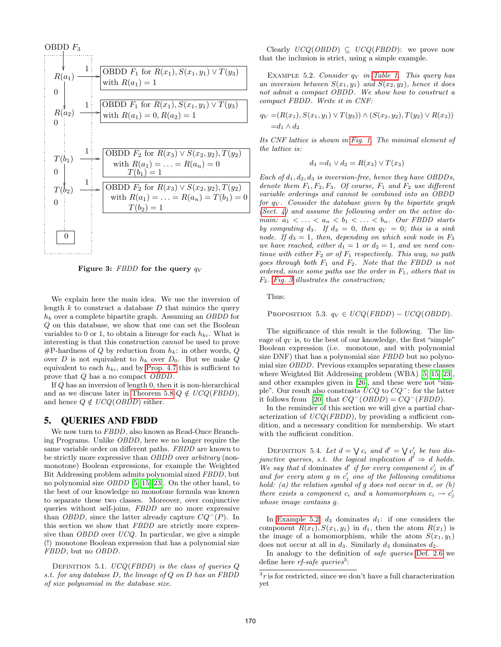<span id="page-8-1"></span>OBDD  $F_3$ 



Figure 3: FBDD for the query  $q_V$ 

We explain here the main idea. We use the inversion of length  $k$  to construct a database  $D$  that mimics the query  $h_k$  over a complete bipartite graph. Assuming an OBDD for Q on this database, we show that one can set the Boolean variables to 0 or 1, to obtain a lineage for each  $h_{ki}$ . What is interesting is that this construction cannot be used to prove #P-hardness of Q by reduction from  $h_k$ : in other words, Q over D is not equivalent to  $h_k$  over  $D_0$ . But we make Q equivalent to each  $h_{ki}$ , and by [Prop. 4.7](#page-7-1) this is sufficient to prove that Q has a no compact OBDD.

If Q has an inversion of length 0, then it is non-hierarchical and as we discuss later in [Theorem 5.8](#page-9-1)  $Q \notin UCQ(FBDD)$ , and hence  $Q \notin UCQ(OBDD)$  either.

#### <span id="page-8-0"></span>5. QUERIES AND FBDD

We now turn to FBDD, also known as Read-Once Branching Programs. Unlike OBDD, here we no longer require the same variable order on different paths. FBDD are known to be strictly more expressive than OBDD over arbitrary (nonmonotone) Boolean expressions, for example the Weighted Bit Addressing problem admits polynomial sized FBDD, but no polynomial size OBDD [\[5,](#page-11-17) [15,](#page-11-18) [23\]](#page-11-19). On the other hand, to the best of our knowledge no monotone formula was known to separate these two classes. Moreover, over conjunctive queries without self-joins, FBDD are no more expressive than *OBDD*, since the latter already capture  $CQ^{-}(P)$ . In this section we show that FBDD are strictly more expressive than *OBDD* over *UCQ*. In particular, we give a simple (!) monotone Boolean expression that has a polynomial size FBDD, but no OBDD.

DEFINITION 5.1.  $UCQ(FBDD)$  is the class of queries  $Q$ s.t. for any database  $D$ , the lineage of  $Q$  on  $D$  has an FBDD of size polynomial in the database size.

Clearly  $UCQ(OBDD) \subseteq UCQ(FBDD)$ : we prove now that the inclusion is strict, using a simple example.

<span id="page-8-2"></span>EXAMPLE 5.2. Consider  $q_V$  in [Table 1.](#page-1-0) This query has an inversion between  $S(x_1, y_1)$  and  $S(x_2, y_2)$ , hence it does not admit a compact OBDD. We show how to construct a compact FBDD . Write it in CNF:

$$
q_V = (R(x_1), S(x_1, y_1) \vee T(y_3)) \wedge (S(x_2, y_2), T(y_2) \vee R(x_3))
$$
  
= $d_1 \wedge d_2$ 

Its CNF lattice is shown in [Fig. 1.](#page-3-0) The minimal element of the lattice is:

$$
d_3 = d_1 \vee d_2 = R(x_3) \vee T(x_3)
$$

Each of  $d_1, d_2, d_3$  is inversion-free, hence they have OBDDs, denote them  $F_1, F_2, F_3$ . Of course,  $F_1$  and  $F_2$  use different variable orderings and cannot be combined into an OBDD for  $q_V$ . Consider the database given by the bipartite graph (Sect.  $4$ ) and assume the following order on the active domain:  $a_1 < \ldots < a_n < b_1 < \ldots < b_n$ . Our FBDD starts by computing d<sub>3</sub>. If  $d_3 = 0$ , then  $q_V = 0$ ; this is a sink node. If  $d_3 = 1$ , then, depending on which sink node in  $F_3$ we have reached, either  $d_1 = 1$  or  $d_2 = 1$ , and we need continue with either  $F_2$  or of  $F_1$  respectively. This way, no path goes through both  $F_1$  and  $F_2$ . Note that the FBDD is not ordered, since some paths use the order in  $F_1$ , others that in  $F_2$ . [Fig. 3](#page-8-1) illustrates the construction;

Thus:

PROPOSITION 5.3.  $q_V \in UCQ(FBDD) - UCQ(OBDD)$ .

The significance of this result is the following. The lineage of  $q_V$  is, to the best of our knowledge, the first "simple" Boolean expression (i.e. monotone, and with polynomial size DNF) that has a polynomial size FBDD but no polynomial size OBDD. Previous examples separating these classes where Weighted Bit Addressing problem (WBA) [\[5,](#page-11-17) [15,](#page-11-18) [23\]](#page-11-19), and other examples given in [\[26\]](#page-11-20), and these were not "simple". Our result also constrasts UCQ to CQ<sup>−</sup>: for the latter it follows from [\[20\]](#page-11-13) that  $CQ^{-}(\text{OBDD}) = CQ^{-}(\text{FBDD})$ .

In the reminder of this section we will give a partial characterization of UCQ(FBDD), by providing a sufficient condition, and a necessary condition for membership. We start with the sufficient condition.

DEFINITION 5.4. Let  $d = \bigvee c_i$  and  $d' = \bigvee c'_j$  be two disjunctive queries, s.t. the logical implication  $d' \Rightarrow d$  holds. We say that  $d$  dominates  $d'$  if for every component  $c'_j$  in  $d'$ and for every atom  $g$  in  $c'_j$  one of the following conditions hold: (a) the relation symbol of  $g$  does not occur in  $d$ , or  $(b)$ there exists a component  $c_i$  and a homomorphism  $c_i \rightarrow c'_j$ whose image contains g.

In [Example 5.2,](#page-8-2)  $d_3$  dominates  $d_1$ : if one considers the component  $R(x_1), S(x_1, y_1)$  in  $d_1$ , then the atom  $R(x_1)$  is the image of a homomorphism, while the atom  $S(x_1, y_1)$ does not occur at all in  $d_3$ . Similarly  $d_3$  dominates  $d_2$ .

In analogy to the definition of safe queries [Def. 2.6](#page-4-3) we define here  $rf$ -safe queries<sup>3</sup>:

 $3r$  is for restricted, since we don't have a full characterization yet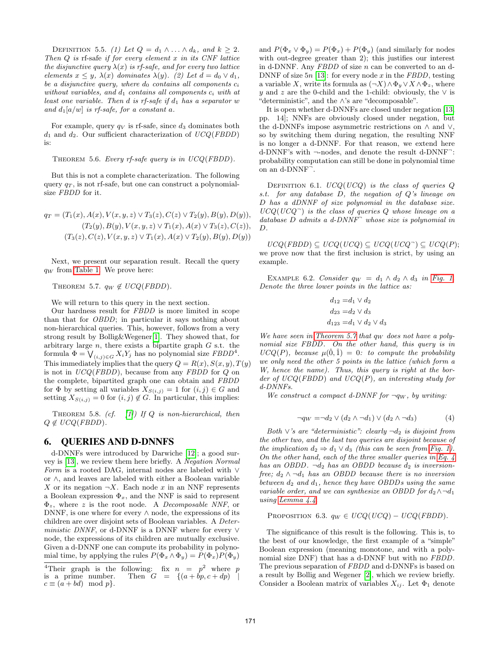DEFINITION 5.5. (1) Let  $Q = d_1 \wedge \ldots \wedge d_k$ , and  $k \geq 2$ . Then  $Q$  is rf-safe if for every element  $x$  in its CNF lattice the disjunctive query  $\lambda(x)$  is rf-safe, and for every two lattice elements  $x \leq y$ ,  $\lambda(x)$  dominates  $\lambda(y)$ . (2) Let  $d = d_0 \vee d_1$ , be a disjunctive query, where  $d_0$  contains all components  $c_i$ without variables, and  $d_1$  contains all components  $c_i$  with at least one variable. Then d is rf-safe if  $d_1$  has a separator w and  $d_1[a/w]$  is rf-safe, for a constant a.

For example, query  $q_V$  is rf-safe, since  $d_3$  dominates both  $d_1$  and  $d_2$ . Our sufficient characterization of  $UCQ(FBDD)$ is:

THEOREM 5.6. Every rf-safe query is in  $UCQ(FBDD)$ .

But this is not a complete characterization. The following query  $q_T$ , is not rf-safe, but one can construct a polynomialsize FBDD for it.

$$
q_T = (T_1(x), A(x), V(x, y, z) \lor T_3(z), C(z) \lor T_2(y), B(y), D(y)),
$$
  
\n
$$
(T_2(y), B(y), V(x, y, z) \lor T_1(x), A(x) \lor T_3(z), C(z)),
$$
  
\n
$$
(T_3(z), C(z), V(x, y, z) \lor T_1(x), A(x) \lor T_2(y), B(y), D(y))
$$

Next, we present our separation result. Recall the query  $q_W$  from [Table 1.](#page-1-0) We prove here:

<span id="page-9-2"></span>THEOREM 5.7.  $q_W \notin UCQ(FBDD)$ .

We will return to this query in the next section.

Our hardness result for FBDD is more limited in scope than that for OBDD; in particular it says nothing about non-hierarchical queries. This, however, follows from a very strong result by Bollig&Wegener[\[1\]](#page-11-16). They showed that, for arbitrary large  $n$ , there exists a bipartite graph  $G$  s.t. the formula  $\Phi = \bigvee_{(i,j)\in G} X_i Y_j$  has no polynomial size  $FBDD^4$ . This immediately implies that the query  $Q = R(x), S(x, y), T(y)$ is not in  $UCQ(FBDD)$ , because from any FBDD for  $Q$  on the complete, bipartited graph one can obtain and FBDD for  $\Phi$  by setting all variables  $X_{S(i,j)} = 1$  for  $(i, j) \in G$  and setting  $X_{S(i,j)} = 0$  for  $(i, j) \notin G$ . In particular, this implies:

<span id="page-9-1"></span>THEOREM 5.8. (cf.  $[1]$ ) If Q is non-hierarchical, then  $Q \notin UCQ(FBDD)$ .

#### <span id="page-9-0"></span>6. QUERIES AND D-DNNFS

d-DNNFs were introduced by Darwiche [\[12\]](#page-11-11); a good survey is [\[13\]](#page-11-1), we review them here briefly. A Negation Normal Form is a rooted DAG, internal nodes are labeled with ∨ or ∧, and leaves are labeled with either a Boolean variable X or its negation  $\neg X$ . Each node x in an NNF represents a Boolean expression  $\Phi_x$ , and the NNF is said to represent  $\Phi_z$ , where z is the root node. A *Decomposable NNF*, or DNNF, is one where for every  $\land$  node, the expressions of its children are over disjoint sets of Boolean variables. A Deterministic DNNF, or d-DNNF is a DNNF where for every  $\vee$ node, the expressions of its children are mutually exclusive. Given a d-DNNF one can compute its probability in polynomial time, by applying the rules  $P(\Phi_x \wedge \Phi_y) = P(\Phi_x)P(\Phi_y)$ 

and  $P(\Phi_x \vee \Phi_y) = P(\Phi_x) + P(\Phi_y)$  (and similarly for nodes with out-degree greater than 2); this justifies our interest in d-DNNF. Any FBDD of size n can be converted to an d-DNNF of size  $5n$  [\[13\]](#page-11-1): for every node x in the FBDD, testing a variable X, write its formula as  $(\neg X) \wedge \Phi_y \vee X \wedge \Phi_z$ , where y and z are the 0-child and the 1-child: obviously, the  $\vee$  is "deterministic", and the ∧'s are "decomposable".

It is open whether d-DNNFs are closed under negation [\[13,](#page-11-1) pp. 14]; NNFs are obviously closed under negation, but the d-DNNFs impose asymmetric restrictions on  $\land$  and  $\lor$ , so by switching them during negation, the resulting NNF is no longer a d-DNNF. For that reason, we extend here d-DNNF's with  $\neg$ -nodes, and denote the result d-DNNF<sup>-</sup>: probability computation can still be done in polynomial time on an d-DNNF<sup>-1</sup>.

DEFINITION 6.1.  $UCQ(UCQ)$  is the class of queries Q s.t. for any database D, the negation of Q's lineage on D has a dDNNF of size polynomial in the database size.  $UCQ(UCQ^-)$  is the class of queries Q whose lineage on a  $database$  D admits a d-DNNF $\bar{ }$  whose size is polynomial in D.

 $UCQ(FBDD) \subseteq UCQ(UCQ) \subseteq UCQ(UCQ^-) \subseteq UCQ(P);$ we prove now that the first inclusion is strict, by using an example.

<span id="page-9-4"></span>EXAMPLE 6.2. Consider  $q_W = d_1 \wedge d_2 \wedge d_3$  in [Fig. 1.](#page-3-0) Denote the three lower points in the lattice as:

$$
d_{12} = d_1 \vee d_2
$$
  
\n
$$
d_{23} = d_2 \vee d_3
$$
  
\n
$$
d_{123} = d_1 \vee d_2 \vee d_3
$$

We have seen in [Theorem 5.7](#page-9-2) that  $q_W$  does not have a polynomial size FBDD. On the other hand, this query is in  $UCQ(P)$ , because  $\mu(\hat{0}, \hat{1}) = 0$ : to compute the probability we only need the other 5 points in the lattice (which form a W, hence the name). Thus, this query is right at the border of  $UCQ(FBDD)$  and  $UCQ(P)$ , an interesting study for d-DNNFs.

We construct a compact d-DNNF for  $\neg q_W$ , by writing:

<span id="page-9-3"></span>
$$
\neg q_W = \neg d_2 \lor (d_2 \land \neg d_1) \lor (d_2 \land \neg d_3) \tag{4}
$$

Both  $\vee$ 's are "deterministic": clearly  $\neg d_2$  is disjoint from the other two, and the last two queries are disjoint because of the implication  $d_2 \Rightarrow d_1 \vee d_3$  (this can be seen from [Fig. 1\)](#page-3-0). On the other hand, each of the three smaller queries in [Eq. 4](#page-9-3) has an OBDD.  $\neg d_2$  has an OBDD because  $d_2$  is inversionfree;  $d_2 \wedge \neg d_1$  has an OBDD because there is no inversion between  $d_2$  and  $d_1$ , hence they have OBDDs using the same variable order, and we can synthesize an OBDD for  $d_2 \wedge \neg d_1$ using [Lemma 4.4.](#page-6-2)

PROPOSITION 6.3.  $q_W \in UCQ(UCQ) - UCQ(FBDD)$ .

The significance of this result is the following. This is, to the best of our knowledge, the first example of a "simple" Boolean expression (meaning monotone, and with a polynomial size DNF) that has a d-DNNF but with no FBDD. The previous separation of FBDD and d-DNNFs is based on a result by Bollig and Wegener [\[2\]](#page-11-21), which we review briefly. Consider a Boolean matrix of variables  $X_{ij}$ . Let  $\Phi_1$  denote

<sup>&</sup>lt;sup>4</sup>Their graph is the following: fix  $n = p^2$  where p is a prime number. Then  $G = \{(a + bp, c + dp) \mid$  $c \equiv (a + bd) \mod p$ .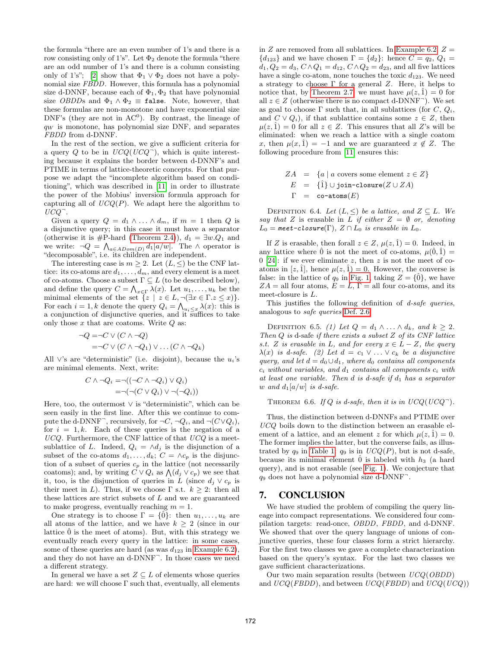the formula "there are an even number of 1's and there is a row consisting only of 1's". Let  $\Phi_2$  denote the formula "there are an odd number of 1's and there is a column consisting only of 1's"; [\[2\]](#page-11-21) show that  $\Phi_1 \vee \Phi_2$  does not have a polynomial size FBDD. However, this formula has a polynomial size d-DNNF, because each of  $\Phi_1, \Phi_2$  that have polynomial size OBDDs and  $\Phi_1 \wedge \Phi_2 \equiv \text{false}$ . Note, however, that these formulas are non-monotone and have exponential size DNF's (they are not in  $AC^0$ ). By contrast, the lineage of  $q_W$  is monotone, has polynomial size DNF, and separates FBDD from d-DNNF.

In the rest of the section, we give a sufficient criteria for a query Q to be in  $UCQ(UCQ^{-})$ , which is quite interesting because it explains the border between d-DNNF's and PTIME in terms of lattice-theoretic concepts. For that purpose we adapt the "incomplete algorithm based on conditioning", which was described in [\[11\]](#page-11-7) in order to illustrate the power of the Mobius' inversion formula approach for capturing all of  $UCQ(P)$ . We adapt here the algorithm to  $UCQ^-$ .

Given a query  $Q = d_1 \wedge \ldots \wedge d_m$ , if  $m = 1$  then Q is a disjunctive query; in this case it must have a separator (otherwise it is #P-hard [\(Theorem 2.4\)](#page-4-1)),  $d_1 = \exists w.Q_1$  and we write:  $\neg Q = \bigwedge_{a \in ADom(D)} d_1[a/w]$ . The  $\wedge$  operator is "decomposable", i.e. its children are independent.

The interesting case is  $m \geq 2$ . Let  $(L, \leq)$  be the CNF lattice: its co-atoms are  $d_1, \ldots, d_m$ , and every element is a meet of co-atoms. Choose a subset  $\Gamma \subseteq L$  (to be described below), and define the query  $C = \bigwedge_{x \in \Gamma} \lambda(x)$ . Let  $u_1, \ldots, u_k$  be the minimal elements of the set  $\{z \mid z \in L, \neg (\exists x \in \Gamma. z \leq x)\}.$ For each  $i = 1, k$  denote the query  $Q_i = \bigwedge_{u_i \leq x} \lambda(x)$ : this is a conjunction of disjunctive queries, and it suffices to take only those  $x$  that are coatoms. Write  $Q$  as:

$$
\neg Q = \neg C \lor (C \land \neg Q)
$$
  
=\neg C \lor (C \land \neg Q\_1) \lor \dots (C \land \neg Q\_k)

All  $\vee$ 's are "deterministic" (i.e. disjoint), because the  $u_i$ 's are minimal elements. Next, write:

$$
C \land \neg Q_i = \neg((\neg C \land \neg Q_i) \lor Q_i)
$$
  
=\neg(\neg (C \lor Q\_i) \lor \neg(\neg Q\_i))

Here, too, the outermost  $\vee$  is "deterministic", which can be seen easily in the first line. After this we continue to compute the d-DNNF<sup>-</sup>, recursively, for  $\neg C, \neg Q_i$ , and  $\neg (C \lor Q_i)$ , for  $i = 1, k$ . Each of these queries is the negation of a  $UCQ$ . Furthermore, the CNF lattice of that  $UCQ$  is a meetsublattice of L. Indeed,  $Q_i = \wedge d_j$  is the disjunction of a subset of the co-atoms  $d_1, \ldots, d_k$ ;  $C = \wedge c_p$  is the disjunction of a subset of queries  $c_p$  in the lattice (not necessarily coatoms); and, by writing  $C \vee Q_i$  as  $\bigwedge (d_j \vee c_p)$  we see that it, too, is the disjunction of queries in L (since  $d_j \vee c_p$  is their meet in L). Thus, if we choose  $\Gamma$  s.t.  $k \geq 2$ : then all these lattices are strict subsets of L and we are guaranteed to make progress, eventually reaching  $m = 1$ .

One strategy is to choose  $\Gamma = \{\hat{0}\}$ : then  $u_1, \ldots, u_k$  are all atoms of the lattice, and we have  $k > 2$  (since in our) lattice  $\ddot{0}$  is the meet of atoms). But, with this strategy we eventually reach every query in the lattice: in some cases, some of these queries are hard (as was  $d_{123}$  in [Example 6.2\)](#page-9-4), and they do not have an d-DNNF<sup>-</sup>. In those cases we need a different strategy.

In general we have a set  $Z \subseteq L$  of elements whose queries are hard: we will choose  $\Gamma$  such that, eventually, all elements

in Z are removed from all sublattices. In [Example 6.2,](#page-9-4)  $Z =$  ${d_{123}}$  and we have chosen  $\Gamma = {d_2}$ : hence  $C = q_2, Q_1 =$  $d_1, Q_2 = d_3, C \wedge Q_1 = d_{12}, C \wedge Q_2 = d_{23}$ , and all five lattices have a single co-atom, none touches the toxic  $d_{123}$ . We need a strategy to choose  $\Gamma$  for a general Z. Here, it helps to notice that, by [Theorem 2.7,](#page-4-0) we must have  $\mu(z, \hat{1}) = 0$  for all  $z \in Z$  (otherwise there is no compact d-DNNF<sup>-</sup>). We set as goal to choose  $\Gamma$  such that, in all sublattices (for C,  $Q_i$ , and  $C \vee Q_i$ , if that sublattice contains some  $z \in Z$ , then  $\mu(z, \tilde{1}) = 0$  for all  $z \in Z$ . This ensures that all Z's will be eliminated: when we reach a lattice with a single coatom x, then  $\mu(x, \hat{1}) = -1$  and we are guaranteed  $x \notin Z$ . The following procedure from [\[11\]](#page-11-7) ensures this:

$$
ZA = \{a \mid a \text{ covers some element } z \in Z\}
$$
  

$$
E = \{\hat{1}\} \cup \text{join-closure}(Z \cup ZA)
$$
  

$$
\Gamma = \text{co-atoms}(E)
$$

<span id="page-10-1"></span>DEFINITION 6.4. Let  $(L, \leq)$  be a lattice, and  $Z \subseteq L$ . We say that Z is erasable in L if either  $Z = \emptyset$  or, denoting  $L_0 = \text{meet-closure}(\Gamma), Z \cap L_0$  is erasable in  $L_0$ .

If Z is erasable, then forall  $z \in Z$ ,  $\mu(z, \hat{1}) = 0$ . Indeed, in any lattice where  $\hat{0}$  is not the meet of co-atoms,  $\mu(\hat{0}, \hat{1}) =$ 0 [\[24\]](#page-11-26): if we ever eliminate z, then z is not the meet of coatoms in [z,  $\hat{1}$ ], hence  $\mu(z, \hat{1}) = 0$ . However, the converse is false: in the lattice of  $q_9$  in [Fig. 1,](#page-3-0) taking  $Z = \{\hat{0}\}\text{, we have}$  $ZA =$  all four atoms,  $E = L$ ,  $\Gamma =$  all four co-atoms, and its meet-closure is L.

This justifies the following definition of *d-safe queries*, analogous to safe queries [Def. 2.6.](#page-4-3)

DEFINITION 6.5. (1) Let  $Q = d_1 \wedge \ldots \wedge d_k$ , and  $k \geq 2$ . Then  $Q$  is d-safe if there exists a subset  $Z$  of its CNF lattice s.t. Z is erasable in L, and for every  $x \in L - Z$ , the query  $\lambda(x)$  is d-safe. (2) Let  $d = c_1 \vee \ldots \vee c_k$  be a disjunctive query, and let  $d = d_0 \cup d_1$ , where  $d_0$  contains all components  $c_i$  without variables, and  $d_1$  contains all components  $c_i$  with at least one variable. Then  $d$  is  $d$ -safe if  $d_1$  has a separator w and  $d_1[a/w]$  is d-safe.

THEOREM 6.6. If Q is d-safe, then it is in  $UCQ(UCQ^-)$ .

Thus, the distinction between d-DNNFs and PTIME over  $UCQ$  boils down to the distinction between an erasable element of a lattice, and an element z for which  $\mu(z, \tilde{1}) = 0$ . The former implies the latter, but the converse fails, as illustrated by  $q_9$  in [Table 1:](#page-1-0)  $q_9$  is in  $UCQ(P)$ , but is not d-safe, because its minimal element  $\hat{0}$  is labeled with  $h_3$  (a hard query), and is not erasable (see [Fig. 1\)](#page-3-0). We conjecture that  $q_9$  does not have a polynomial size d-DNNF $\degree$ .

#### <span id="page-10-0"></span>7. CONCLUSION

We have studied the problem of compiling the query lineage into compact representations. We considered four compilation targets: read-once, OBDD, FBDD, and d-DNNF. We showed that over the query language of unions of conjunctive queries, these four classes form a strict hierarchy. For the first two classes we gave a complete characterization based on the query's syntax. For the last two classes we gave sufficient characterizations.

Our two main separation results (between UCQ(OBDD) and  $UCQ(FBDD)$ , and between  $UCQ(FBDD)$  and  $UCQ(UCQ)$ )